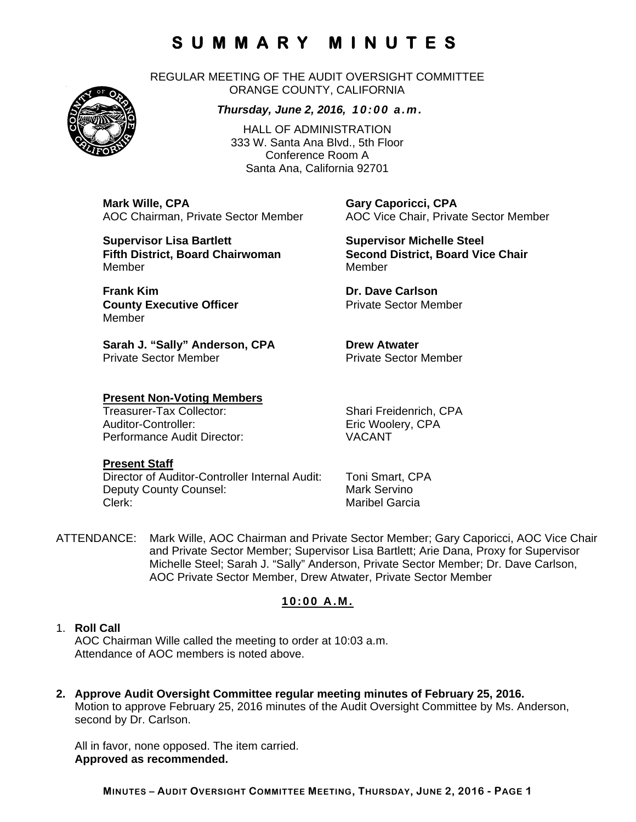REGULAR MEETING OF THE AUDIT OVERSIGHT COMMITTEE ORANGE COUNTY, CALIFORNIA

#### *Thursday, June 2, 2016, 10:00 a.m.*

HALL OF ADMINISTRATION 333 W. Santa Ana Blvd., 5th Floor Conference Room A Santa Ana, California 92701

**Mark Wille, CPA Gary Caporicci, CPA** 

**Supervisor Lisa Bartlett Supervisor Michelle Steel** MemberMember

**Frank Kim Communication Communication Carlson** Dr. Dave Carlson **County Executive Officer Private Sector Member** Member

Sarah J. "Sally" Anderson, CPA **Drew Atwater** Private Sector Member **Private Sector Member** 

# **Present Non-Voting Members**

Auditor-Controller: Eric Woolery, CPA Performance Audit Director: VACANT

#### **Present Staff**

Director of Auditor-Controller Internal Audit: Toni Smart, CPA Deputy County Counsel: Mark Servino Clerk: Clerk: Clerk: Maribel Garcia

AOC Chairman, Private Sector Member AOC Vice Chair, Private Sector Member

**Fifth District, Board Chairwoman Second District, Board Vice Chair** 

Shari Freidenrich, CPA

ATTENDANCE: Mark Wille, AOC Chairman and Private Sector Member; Gary Caporicci, AOC Vice Chair and Private Sector Member; Supervisor Lisa Bartlett; Arie Dana, Proxy for Supervisor Michelle Steel; Sarah J. "Sally" Anderson, Private Sector Member; Dr. Dave Carlson, AOC Private Sector Member, Drew Atwater, Private Sector Member

#### **10:00 A.M.**

### 1. **Roll Call** AOC Chairman Wille called the meeting to order at 10:03 a.m.

- Attendance of AOC members is noted above.
- **2. Approve Audit Oversight Committee regular meeting minutes of February 25, 2016.**  Motion to approve February 25, 2016 minutes of the Audit Oversight Committee by Ms. Anderson, second by Dr. Carlson.

All in favor, none opposed. The item carried. **Approved as recommended.** 

**MINUTES – AUDIT OVERSIGHT COMMITTEE MEETING, THURSDAY, JUNE 2, 2016 - PAGE 1**

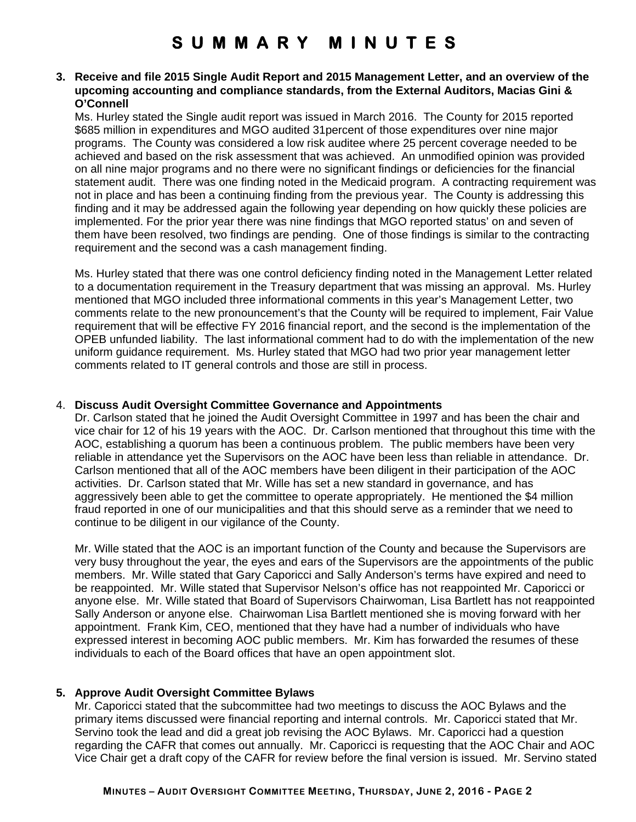#### **3. Receive and file 2015 Single Audit Report and 2015 Management Letter, and an overview of the upcoming accounting and compliance standards, from the External Auditors, Macias Gini & O'Connell**

Ms. Hurley stated the Single audit report was issued in March 2016. The County for 2015 reported \$685 million in expenditures and MGO audited 31percent of those expenditures over nine major programs. The County was considered a low risk auditee where 25 percent coverage needed to be achieved and based on the risk assessment that was achieved. An unmodified opinion was provided on all nine major programs and no there were no significant findings or deficiencies for the financial statement audit. There was one finding noted in the Medicaid program. A contracting requirement was not in place and has been a continuing finding from the previous year. The County is addressing this finding and it may be addressed again the following year depending on how quickly these policies are implemented. For the prior year there was nine findings that MGO reported status' on and seven of them have been resolved, two findings are pending. One of those findings is similar to the contracting requirement and the second was a cash management finding.

Ms. Hurley stated that there was one control deficiency finding noted in the Management Letter related to a documentation requirement in the Treasury department that was missing an approval. Ms. Hurley mentioned that MGO included three informational comments in this year's Management Letter, two comments relate to the new pronouncement's that the County will be required to implement, Fair Value requirement that will be effective FY 2016 financial report, and the second is the implementation of the OPEB unfunded liability. The last informational comment had to do with the implementation of the new uniform guidance requirement. Ms. Hurley stated that MGO had two prior year management letter comments related to IT general controls and those are still in process.

#### 4. **Discuss Audit Oversight Committee Governance and Appointments**

Dr. Carlson stated that he joined the Audit Oversight Committee in 1997 and has been the chair and vice chair for 12 of his 19 years with the AOC. Dr. Carlson mentioned that throughout this time with the AOC, establishing a quorum has been a continuous problem. The public members have been very reliable in attendance yet the Supervisors on the AOC have been less than reliable in attendance. Dr. Carlson mentioned that all of the AOC members have been diligent in their participation of the AOC activities. Dr. Carlson stated that Mr. Wille has set a new standard in governance, and has aggressively been able to get the committee to operate appropriately. He mentioned the \$4 million fraud reported in one of our municipalities and that this should serve as a reminder that we need to continue to be diligent in our vigilance of the County.

Mr. Wille stated that the AOC is an important function of the County and because the Supervisors are very busy throughout the year, the eyes and ears of the Supervisors are the appointments of the public members. Mr. Wille stated that Gary Caporicci and Sally Anderson's terms have expired and need to be reappointed. Mr. Wille stated that Supervisor Nelson's office has not reappointed Mr. Caporicci or anyone else. Mr. Wille stated that Board of Supervisors Chairwoman, Lisa Bartlett has not reappointed Sally Anderson or anyone else. Chairwoman Lisa Bartlett mentioned she is moving forward with her appointment. Frank Kim, CEO, mentioned that they have had a number of individuals who have expressed interest in becoming AOC public members. Mr. Kim has forwarded the resumes of these individuals to each of the Board offices that have an open appointment slot.

### **5. Approve Audit Oversight Committee Bylaws**

Mr. Caporicci stated that the subcommittee had two meetings to discuss the AOC Bylaws and the primary items discussed were financial reporting and internal controls. Mr. Caporicci stated that Mr. Servino took the lead and did a great job revising the AOC Bylaws. Mr. Caporicci had a question regarding the CAFR that comes out annually. Mr. Caporicci is requesting that the AOC Chair and AOC Vice Chair get a draft copy of the CAFR for review before the final version is issued. Mr. Servino stated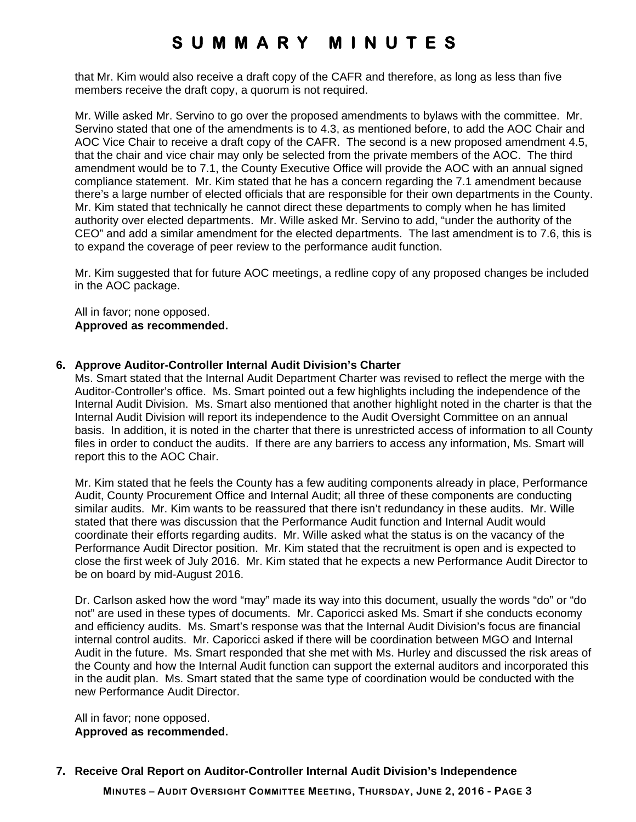that Mr. Kim would also receive a draft copy of the CAFR and therefore, as long as less than five members receive the draft copy, a quorum is not required.

Mr. Wille asked Mr. Servino to go over the proposed amendments to bylaws with the committee. Mr. Servino stated that one of the amendments is to 4.3, as mentioned before, to add the AOC Chair and AOC Vice Chair to receive a draft copy of the CAFR. The second is a new proposed amendment 4.5, that the chair and vice chair may only be selected from the private members of the AOC. The third amendment would be to 7.1, the County Executive Office will provide the AOC with an annual signed compliance statement. Mr. Kim stated that he has a concern regarding the 7.1 amendment because there's a large number of elected officials that are responsible for their own departments in the County. Mr. Kim stated that technically he cannot direct these departments to comply when he has limited authority over elected departments. Mr. Wille asked Mr. Servino to add, "under the authority of the CEO" and add a similar amendment for the elected departments. The last amendment is to 7.6, this is to expand the coverage of peer review to the performance audit function.

Mr. Kim suggested that for future AOC meetings, a redline copy of any proposed changes be included in the AOC package.

All in favor; none opposed. **Approved as recommended.** 

#### **6. Approve Auditor-Controller Internal Audit Division's Charter**

Ms. Smart stated that the Internal Audit Department Charter was revised to reflect the merge with the Auditor-Controller's office. Ms. Smart pointed out a few highlights including the independence of the Internal Audit Division. Ms. Smart also mentioned that another highlight noted in the charter is that the Internal Audit Division will report its independence to the Audit Oversight Committee on an annual basis. In addition, it is noted in the charter that there is unrestricted access of information to all County files in order to conduct the audits. If there are any barriers to access any information, Ms. Smart will report this to the AOC Chair.

Mr. Kim stated that he feels the County has a few auditing components already in place, Performance Audit, County Procurement Office and Internal Audit; all three of these components are conducting similar audits. Mr. Kim wants to be reassured that there isn't redundancy in these audits. Mr. Wille stated that there was discussion that the Performance Audit function and Internal Audit would coordinate their efforts regarding audits. Mr. Wille asked what the status is on the vacancy of the Performance Audit Director position. Mr. Kim stated that the recruitment is open and is expected to close the first week of July 2016. Mr. Kim stated that he expects a new Performance Audit Director to be on board by mid-August 2016.

Dr. Carlson asked how the word "may" made its way into this document, usually the words "do" or "do not" are used in these types of documents. Mr. Caporicci asked Ms. Smart if she conducts economy and efficiency audits. Ms. Smart's response was that the Internal Audit Division's focus are financial internal control audits. Mr. Caporicci asked if there will be coordination between MGO and Internal Audit in the future. Ms. Smart responded that she met with Ms. Hurley and discussed the risk areas of the County and how the Internal Audit function can support the external auditors and incorporated this in the audit plan. Ms. Smart stated that the same type of coordination would be conducted with the new Performance Audit Director.

All in favor; none opposed. **Approved as recommended.**

### **7. Receive Oral Report on Auditor-Controller Internal Audit Division's Independence**

**MINUTES – AUDIT OVERSIGHT COMMITTEE MEETING, THURSDAY, JUNE 2, 2016 - PAGE 3**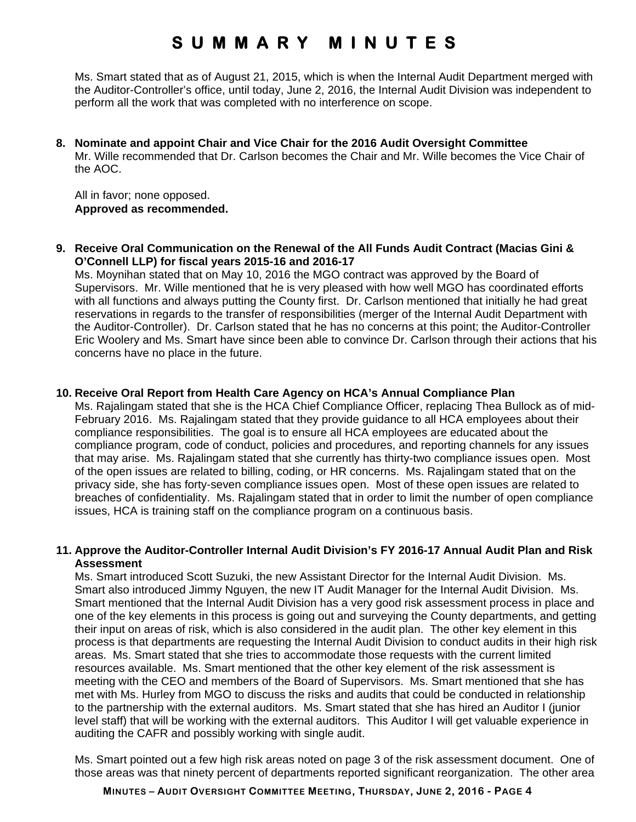Ms. Smart stated that as of August 21, 2015, which is when the Internal Audit Department merged with the Auditor-Controller's office, until today, June 2, 2016, the Internal Audit Division was independent to perform all the work that was completed with no interference on scope.

**8. Nominate and appoint Chair and Vice Chair for the 2016 Audit Oversight Committee**  Mr. Wille recommended that Dr. Carlson becomes the Chair and Mr. Wille becomes the Vice Chair of the AOC.

All in favor; none opposed. **Approved as recommended.**

**9. Receive Oral Communication on the Renewal of the All Funds Audit Contract (Macias Gini & O'Connell LLP) for fiscal years 2015-16 and 2016-17** 

Ms. Moynihan stated that on May 10, 2016 the MGO contract was approved by the Board of Supervisors. Mr. Wille mentioned that he is very pleased with how well MGO has coordinated efforts with all functions and always putting the County first. Dr. Carlson mentioned that initially he had great reservations in regards to the transfer of responsibilities (merger of the Internal Audit Department with the Auditor-Controller). Dr. Carlson stated that he has no concerns at this point; the Auditor-Controller Eric Woolery and Ms. Smart have since been able to convince Dr. Carlson through their actions that his concerns have no place in the future.

#### **10. Receive Oral Report from Health Care Agency on HCA's Annual Compliance Plan**

Ms. Rajalingam stated that she is the HCA Chief Compliance Officer, replacing Thea Bullock as of mid-February 2016. Ms. Rajalingam stated that they provide guidance to all HCA employees about their compliance responsibilities. The goal is to ensure all HCA employees are educated about the compliance program, code of conduct, policies and procedures, and reporting channels for any issues that may arise. Ms. Rajalingam stated that she currently has thirty-two compliance issues open. Most of the open issues are related to billing, coding, or HR concerns. Ms. Rajalingam stated that on the privacy side, she has forty-seven compliance issues open. Most of these open issues are related to breaches of confidentiality. Ms. Rajalingam stated that in order to limit the number of open compliance issues, HCA is training staff on the compliance program on a continuous basis.

#### **11. Approve the Auditor-Controller Internal Audit Division's FY 2016-17 Annual Audit Plan and Risk Assessment**

Ms. Smart introduced Scott Suzuki, the new Assistant Director for the Internal Audit Division. Ms. Smart also introduced Jimmy Nguyen, the new IT Audit Manager for the Internal Audit Division. Ms. Smart mentioned that the Internal Audit Division has a very good risk assessment process in place and one of the key elements in this process is going out and surveying the County departments, and getting their input on areas of risk, which is also considered in the audit plan. The other key element in this process is that departments are requesting the Internal Audit Division to conduct audits in their high risk areas. Ms. Smart stated that she tries to accommodate those requests with the current limited resources available. Ms. Smart mentioned that the other key element of the risk assessment is meeting with the CEO and members of the Board of Supervisors. Ms. Smart mentioned that she has met with Ms. Hurley from MGO to discuss the risks and audits that could be conducted in relationship to the partnership with the external auditors. Ms. Smart stated that she has hired an Auditor I (junior level staff) that will be working with the external auditors. This Auditor I will get valuable experience in auditing the CAFR and possibly working with single audit.

Ms. Smart pointed out a few high risk areas noted on page 3 of the risk assessment document. One of those areas was that ninety percent of departments reported significant reorganization. The other area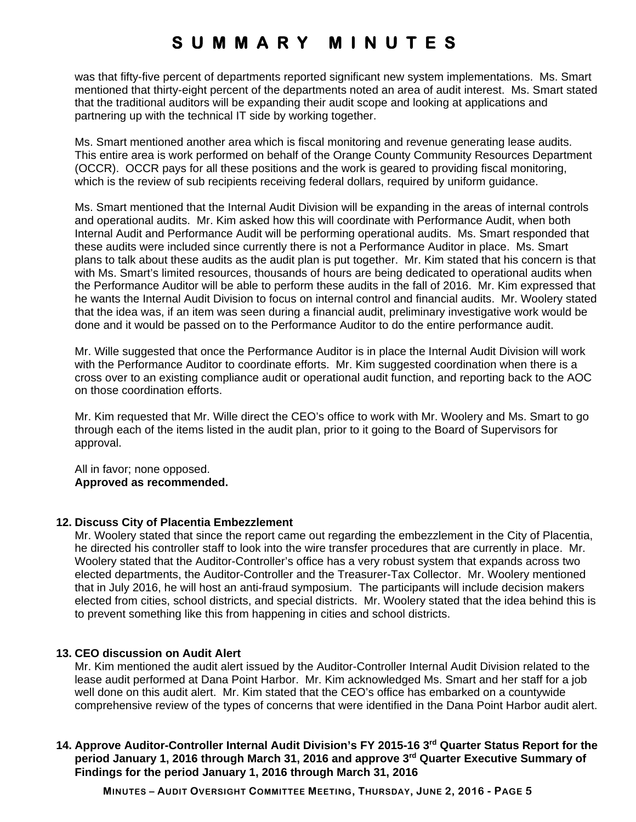was that fifty-five percent of departments reported significant new system implementations. Ms. Smart mentioned that thirty-eight percent of the departments noted an area of audit interest. Ms. Smart stated that the traditional auditors will be expanding their audit scope and looking at applications and partnering up with the technical IT side by working together.

Ms. Smart mentioned another area which is fiscal monitoring and revenue generating lease audits. This entire area is work performed on behalf of the Orange County Community Resources Department (OCCR). OCCR pays for all these positions and the work is geared to providing fiscal monitoring, which is the review of sub recipients receiving federal dollars, required by uniform guidance.

Ms. Smart mentioned that the Internal Audit Division will be expanding in the areas of internal controls and operational audits. Mr. Kim asked how this will coordinate with Performance Audit, when both Internal Audit and Performance Audit will be performing operational audits. Ms. Smart responded that these audits were included since currently there is not a Performance Auditor in place. Ms. Smart plans to talk about these audits as the audit plan is put together. Mr. Kim stated that his concern is that with Ms. Smart's limited resources, thousands of hours are being dedicated to operational audits when the Performance Auditor will be able to perform these audits in the fall of 2016. Mr. Kim expressed that he wants the Internal Audit Division to focus on internal control and financial audits. Mr. Woolery stated that the idea was, if an item was seen during a financial audit, preliminary investigative work would be done and it would be passed on to the Performance Auditor to do the entire performance audit.

Mr. Wille suggested that once the Performance Auditor is in place the Internal Audit Division will work with the Performance Auditor to coordinate efforts. Mr. Kim suggested coordination when there is a cross over to an existing compliance audit or operational audit function, and reporting back to the AOC on those coordination efforts.

Mr. Kim requested that Mr. Wille direct the CEO's office to work with Mr. Woolery and Ms. Smart to go through each of the items listed in the audit plan, prior to it going to the Board of Supervisors for approval.

All in favor; none opposed. **Approved as recommended.** 

#### **12. Discuss City of Placentia Embezzlement**

Mr. Woolery stated that since the report came out regarding the embezzlement in the City of Placentia, he directed his controller staff to look into the wire transfer procedures that are currently in place. Mr. Woolery stated that the Auditor-Controller's office has a very robust system that expands across two elected departments, the Auditor-Controller and the Treasurer-Tax Collector. Mr. Woolery mentioned that in July 2016, he will host an anti-fraud symposium. The participants will include decision makers elected from cities, school districts, and special districts. Mr. Woolery stated that the idea behind this is to prevent something like this from happening in cities and school districts.

#### **13. CEO discussion on Audit Alert**

Mr. Kim mentioned the audit alert issued by the Auditor-Controller Internal Audit Division related to the lease audit performed at Dana Point Harbor. Mr. Kim acknowledged Ms. Smart and her staff for a job well done on this audit alert. Mr. Kim stated that the CEO's office has embarked on a countywide comprehensive review of the types of concerns that were identified in the Dana Point Harbor audit alert.

### 14. Approve Auditor-Controller Internal Audit Division's FY 2015-16 3<sup>rd</sup> Quarter Status Report for the **period January 1, 2016 through March 31, 2016 and approve 3rd Quarter Executive Summary of Findings for the period January 1, 2016 through March 31, 2016**

**MINUTES – AUDIT OVERSIGHT COMMITTEE MEETING, THURSDAY, JUNE 2, 2016 - PAGE 5**